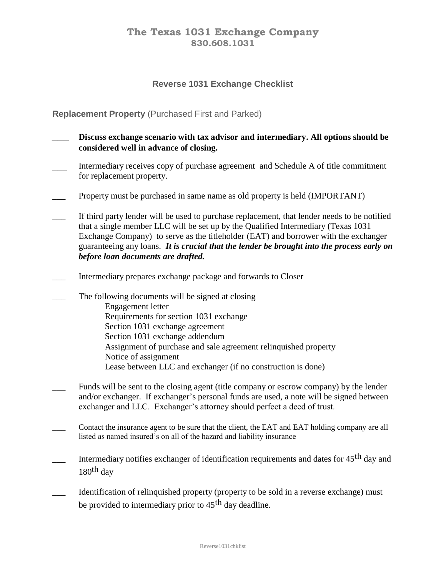## **The Texas 1031 Exchange Company 830.608.1031**

## **Reverse 1031 Exchange Checklist**

## **Replacement Property** (Purchased First and Parked)

- *\_\_\_* **Discuss exchange scenario with tax advisor and intermediary. All options should be considered well in advance of closing.**
- Intermediary receives copy of purchase agreement and Schedule A of title commitment for replacement property.
- Property must be purchased in same name as old property is held (IMPORTANT)
- If third party lender will be used to purchase replacement, that lender needs to be notified that a single member LLC will be set up by the Qualified Intermediary (Texas 1031 Exchange Company) to serve as the titleholder (EAT) and borrower with the exchanger guaranteeing any loans. *It is crucial that the lender be brought into the process early on before loan documents are drafted.*
- \_\_\_ Intermediary prepares exchange package and forwards to Closer
- The following documents will be signed at closing Engagement letter Requirements for section 1031 exchange Section 1031 exchange agreement Section 1031 exchange addendum Assignment of purchase and sale agreement relinquished property Notice of assignment Lease between LLC and exchanger (if no construction is done)
- Funds will be sent to the closing agent (title company or escrow company) by the lender and/or exchanger. If exchanger's personal funds are used, a note will be signed between exchanger and LLC. Exchanger's attorney should perfect a deed of trust.
- \_\_\_ Contact the insurance agent to be sure that the client, the EAT and EAT holding company are all listed as named insured's on all of the hazard and liability insurance
- Intermediary notifies exchanger of identification requirements and dates for 45<sup>th</sup> day and  $180<sup>th</sup>$  day
- Identification of relinquished property (property to be sold in a reverse exchange) must be provided to intermediary prior to 45<sup>th</sup> day deadline.